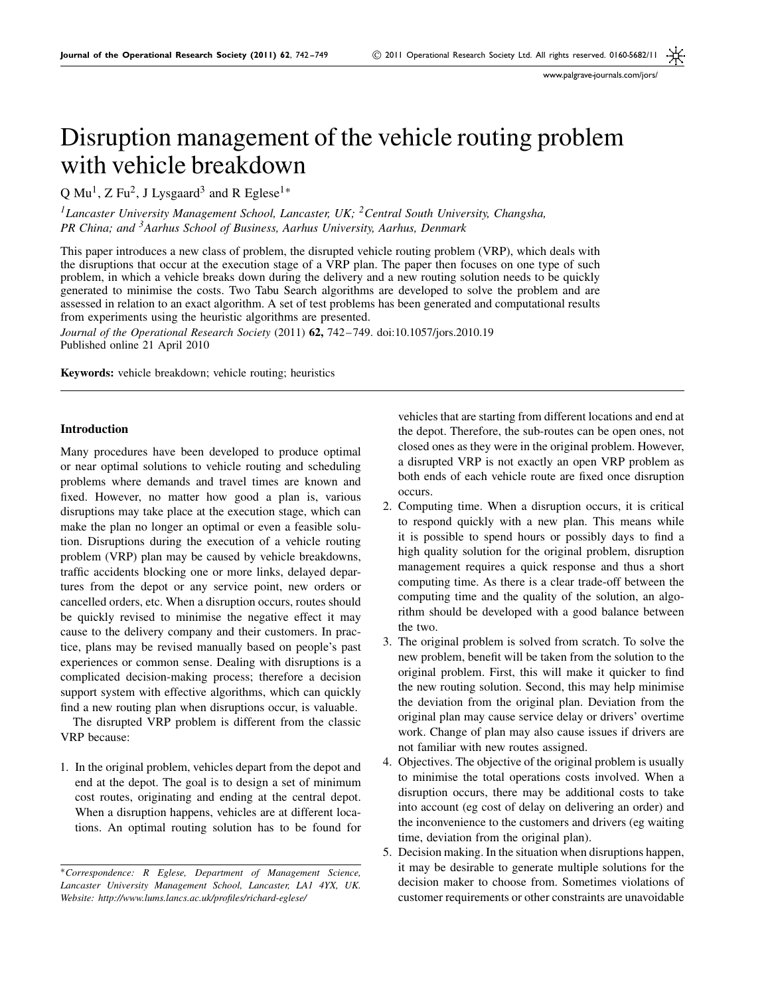# Disruption management of the vehicle routing problem with vehicle breakdown

Q Mu<sup>1</sup>, Z Fu<sup>2</sup>, J Lysgaard<sup>3</sup> and R Eglese<sup>1</sup><sup>\*</sup>

*1Lancaster University Management School, Lancaster, UK; 2Central South University, Changsha, PR China; and 3Aarhus School of Business, Aarhus University, Aarhus, Denmark*

This paper introduces a new class of problem, the disrupted vehicle routing problem (VRP), which deals with the disruptions that occur at the execution stage of a VRP plan. The paper then focuses on one type of such problem, in which a vehicle breaks down during the delivery and a new routing solution needs to be quickly generated to minimise the costs. Two Tabu Search algorithms are developed to solve the problem and are assessed in relation to an exact algorithm. A set of test problems has been generated and computational results from experiments using the heuristic algorithms are presented.

*Journal of the Operational Research Society* (2011) **62,** 742 – 749. doi:10.1057/jors.2010.19 Published online 21 April 2010

**Keywords:** vehicle breakdown; vehicle routing; heuristics

## **Introduction**

Many procedures have been developed to produce optimal or near optimal solutions to vehicle routing and scheduling problems where demands and travel times are known and fixed. However, no matter how good a plan is, various disruptions may take place at the execution stage, which can make the plan no longer an optimal or even a feasible solution. Disruptions during the execution of a vehicle routing problem (VRP) plan may be caused by vehicle breakdowns, traffic accidents blocking one or more links, delayed departures from the depot or any service point, new orders or cancelled orders, etc. When a disruption occurs, routes should be quickly revised to minimise the negative effect it may cause to the delivery company and their customers. In practice, plans may be revised manually based on people's past experiences or common sense. Dealing with disruptions is a complicated decision-making process; therefore a decision support system with effective algorithms, which can quickly find a new routing plan when disruptions occur, is valuable.

The disrupted VRP problem is different from the classic VRP because:

1. In the original problem, vehicles depart from the depot and end at the depot. The goal is to design a set of minimum cost routes, originating and ending at the central depot. When a disruption happens, vehicles are at different locations. An optimal routing solution has to be found for

vehicles that are starting from different locations and end at the depot. Therefore, the sub-routes can be open ones, not closed ones as they were in the original problem. However, a disrupted VRP is not exactly an open VRP problem as both ends of each vehicle route are fixed once disruption occurs.

- 2. Computing time. When a disruption occurs, it is critical to respond quickly with a new plan. This means while it is possible to spend hours or possibly days to find a high quality solution for the original problem, disruption management requires a quick response and thus a short computing time. As there is a clear trade-off between the computing time and the quality of the solution, an algorithm should be developed with a good balance between the two.
- 3. The original problem is solved from scratch. To solve the new problem, benefit will be taken from the solution to the original problem. First, this will make it quicker to find the new routing solution. Second, this may help minimise the deviation from the original plan. Deviation from the original plan may cause service delay or drivers' overtime work. Change of plan may also cause issues if drivers are not familiar with new routes assigned.
- 4. Objectives. The objective of the original problem is usually to minimise the total operations costs involved. When a disruption occurs, there may be additional costs to take into account (eg cost of delay on delivering an order) and the inconvenience to the customers and drivers (eg waiting time, deviation from the original plan).
- 5. Decision making. In the situation when disruptions happen, it may be desirable to generate multiple solutions for the decision maker to choose from. Sometimes violations of customer requirements or other constraints are unavoidable

<sup>∗</sup>*Correspondence: R Eglese, Department of Management Science, Lancaster University Management School, Lancaster, LA1 4YX, UK. Website: http://www.lums.lancs.ac.uk/profiles/richard-eglese/*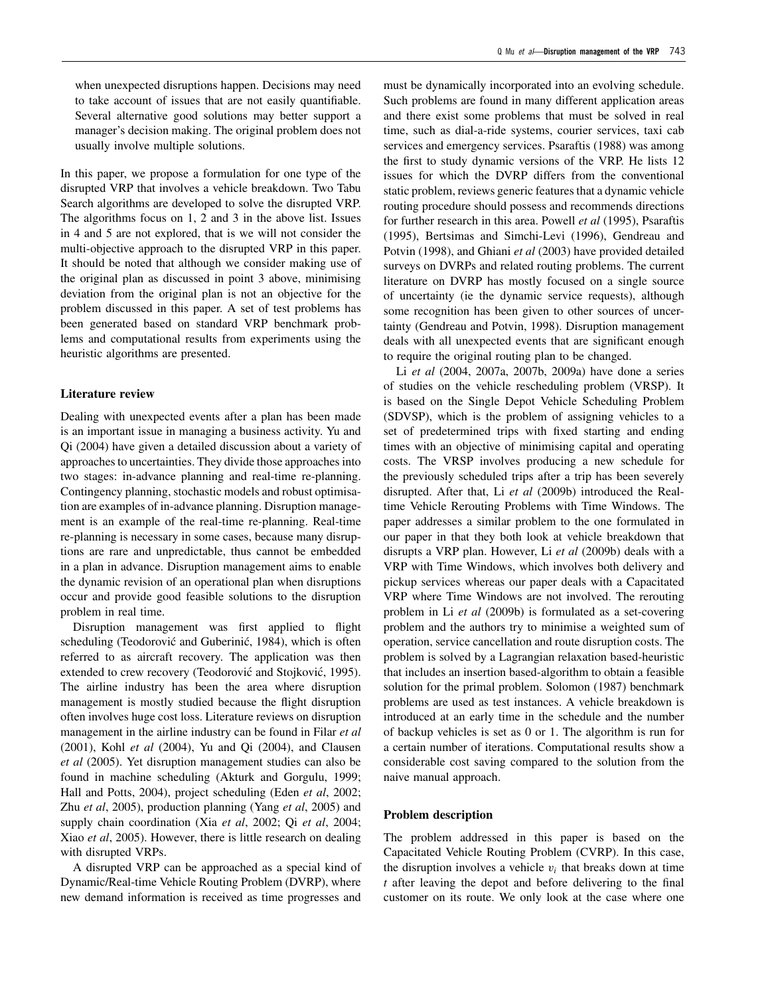when unexpected disruptions happen. Decisions may need to take account of issues that are not easily quantifiable. Several alternative good solutions may better support a manager's decision making. The original problem does not usually involve multiple solutions.

In this paper, we propose a formulation for one type of the disrupted VRP that involves a vehicle breakdown. Two Tabu Search algorithms are developed to solve the disrupted VRP. The algorithms focus on 1, 2 and 3 in the above list. Issues in 4 and 5 are not explored, that is we will not consider the multi-objective approach to the disrupted VRP in this paper. It should be noted that although we consider making use of the original plan as discussed in point 3 above, minimising deviation from the original plan is not an objective for the problem discussed in this paper. A set of test problems has been generated based on standard VRP benchmark problems and computational results from experiments using the heuristic algorithms are presented.

### **Literature review**

Dealing with unexpected events after a plan has been made is an important issue in managing a business activity. Yu and Qi (2004) have given a detailed discussion about a variety of approaches to uncertainties. They divide those approaches into two stages: in-advance planning and real-time re-planning. Contingency planning, stochastic models and robust optimisation are examples of in-advance planning. Disruption management is an example of the real-time re-planning. Real-time re-planning is necessary in some cases, because many disruptions are rare and unpredictable, thus cannot be embedded in a plan in advance. Disruption management aims to enable the dynamic revision of an operational plan when disruptions occur and provide good feasible solutions to the disruption problem in real time.

Disruption management was first applied to flight scheduling (Teodorović and Guberinić, 1984), which is often referred to as aircraft recovery. The application was then extended to crew recovery (Teodorović and Stojković, 1995). The airline industry has been the area where disruption management is mostly studied because the flight disruption often involves huge cost loss. Literature reviews on disruption management in the airline industry can be found in Filar *et al* (2001), Kohl *et al* (2004), Yu and Qi (2004), and Clausen *et al* (2005). Yet disruption management studies can also be found in machine scheduling (Akturk and Gorgulu, 1999; Hall and Potts, 2004), project scheduling (Eden *et al*, 2002; Zhu *et al*, 2005), production planning (Yang *et al*, 2005) and supply chain coordination (Xia *et al*, 2002; Qi *et al*, 2004; Xiao *et al*, 2005). However, there is little research on dealing with disrupted VRPs.

A disrupted VRP can be approached as a special kind of Dynamic/Real-time Vehicle Routing Problem (DVRP), where new demand information is received as time progresses and must be dynamically incorporated into an evolving schedule. Such problems are found in many different application areas and there exist some problems that must be solved in real time, such as dial-a-ride systems, courier services, taxi cab services and emergency services. Psaraftis (1988) was among the first to study dynamic versions of the VRP. He lists 12 issues for which the DVRP differs from the conventional static problem, reviews generic features that a dynamic vehicle routing procedure should possess and recommends directions for further research in this area. Powell *et al* (1995), Psaraftis (1995), Bertsimas and Simchi-Levi (1996), Gendreau and Potvin (1998), and Ghiani *et al* (2003) have provided detailed surveys on DVRPs and related routing problems. The current literature on DVRP has mostly focused on a single source of uncertainty (ie the dynamic service requests), although some recognition has been given to other sources of uncertainty (Gendreau and Potvin, 1998). Disruption management deals with all unexpected events that are significant enough to require the original routing plan to be changed.

Li *et al* (2004, 2007a, 2007b, 2009a) have done a series of studies on the vehicle rescheduling problem (VRSP). It is based on the Single Depot Vehicle Scheduling Problem (SDVSP), which is the problem of assigning vehicles to a set of predetermined trips with fixed starting and ending times with an objective of minimising capital and operating costs. The VRSP involves producing a new schedule for the previously scheduled trips after a trip has been severely disrupted. After that, Li *et al* (2009b) introduced the Realtime Vehicle Rerouting Problems with Time Windows. The paper addresses a similar problem to the one formulated in our paper in that they both look at vehicle breakdown that disrupts a VRP plan. However, Li *et al* (2009b) deals with a VRP with Time Windows, which involves both delivery and pickup services whereas our paper deals with a Capacitated VRP where Time Windows are not involved. The rerouting problem in Li *et al* (2009b) is formulated as a set-covering problem and the authors try to minimise a weighted sum of operation, service cancellation and route disruption costs. The problem is solved by a Lagrangian relaxation based-heuristic that includes an insertion based-algorithm to obtain a feasible solution for the primal problem. Solomon (1987) benchmark problems are used as test instances. A vehicle breakdown is introduced at an early time in the schedule and the number of backup vehicles is set as 0 or 1. The algorithm is run for a certain number of iterations. Computational results show a considerable cost saving compared to the solution from the naive manual approach.

### **Problem description**

The problem addressed in this paper is based on the Capacitated Vehicle Routing Problem (CVRP). In this case, the disruption involves a vehicle  $v_i$  that breaks down at time *t* after leaving the depot and before delivering to the final customer on its route. We only look at the case where one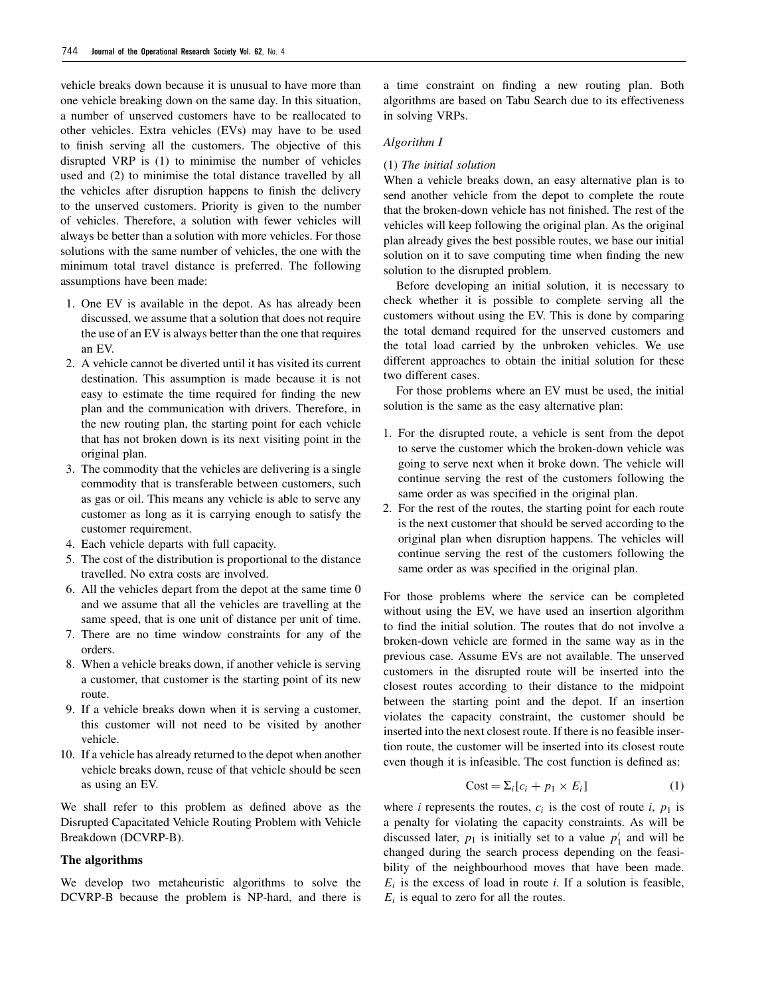vehicle breaks down because it is unusual to have more than one vehicle breaking down on the same day. In this situation, a number of unserved customers have to be reallocated to other vehicles. Extra vehicles (EVs) may have to be used to finish serving all the customers. The objective of this disrupted VRP is (1) to minimise the number of vehicles used and (2) to minimise the total distance travelled by all the vehicles after disruption happens to finish the delivery to the unserved customers. Priority is given to the number of vehicles. Therefore, a solution with fewer vehicles will always be better than a solution with more vehicles. For those solutions with the same number of vehicles, the one with the minimum total travel distance is preferred. The following assumptions have been made:

- 1. One EV is available in the depot. As has already been discussed, we assume that a solution that does not require the use of an EV is always better than the one that requires an EV.
- 2. A vehicle cannot be diverted until it has visited its current destination. This assumption is made because it is not easy to estimate the time required for finding the new plan and the communication with drivers. Therefore, in the new routing plan, the starting point for each vehicle that has not broken down is its next visiting point in the original plan.
- 3. The commodity that the vehicles are delivering is a single commodity that is transferable between customers, such as gas or oil. This means any vehicle is able to serve any customer as long as it is carrying enough to satisfy the customer requirement.
- 4. Each vehicle departs with full capacity.
- 5. The cost of the distribution is proportional to the distance travelled. No extra costs are involved.
- 6. All the vehicles depart from the depot at the same time 0 and we assume that all the vehicles are travelling at the same speed, that is one unit of distance per unit of time.
- 7. There are no time window constraints for any of the orders.
- 8. When a vehicle breaks down, if another vehicle is serving a customer, that customer is the starting point of its new route.
- 9. If a vehicle breaks down when it is serving a customer, this customer will not need to be visited by another vehicle.
- 10. If a vehicle has already returned to the depot when another vehicle breaks down, reuse of that vehicle should be seen as using an EV.

We shall refer to this problem as defined above as the Disrupted Capacitated Vehicle Routing Problem with Vehicle Breakdown (DCVRP-B).

# **The algorithms**

We develop two metaheuristic algorithms to solve the DCVRP-B because the problem is NP-hard, and there is a time constraint on finding a new routing plan. Both algorithms are based on Tabu Search due to its effectiveness in solving VRPs.

# *Algorithm I*

#### (1) *The initial solution*

When a vehicle breaks down, an easy alternative plan is to send another vehicle from the depot to complete the route that the broken-down vehicle has not finished. The rest of the vehicles will keep following the original plan. As the original plan already gives the best possible routes, we base our initial solution on it to save computing time when finding the new solution to the disrupted problem.

Before developing an initial solution, it is necessary to check whether it is possible to complete serving all the customers without using the EV. This is done by comparing the total demand required for the unserved customers and the total load carried by the unbroken vehicles. We use different approaches to obtain the initial solution for these two different cases.

For those problems where an EV must be used, the initial solution is the same as the easy alternative plan:

- 1. For the disrupted route, a vehicle is sent from the depot to serve the customer which the broken-down vehicle was going to serve next when it broke down. The vehicle will continue serving the rest of the customers following the same order as was specified in the original plan.
- 2. For the rest of the routes, the starting point for each route is the next customer that should be served according to the original plan when disruption happens. The vehicles will continue serving the rest of the customers following the same order as was specified in the original plan.

For those problems where the service can be completed without using the EV, we have used an insertion algorithm to find the initial solution. The routes that do not involve a broken-down vehicle are formed in the same way as in the previous case. Assume EVs are not available. The unserved customers in the disrupted route will be inserted into the closest routes according to their distance to the midpoint between the starting point and the depot. If an insertion violates the capacity constraint, the customer should be inserted into the next closest route. If there is no feasible insertion route, the customer will be inserted into its closest route even though it is infeasible. The cost function is defined as:

$$
Cost = \sum_{i} [c_i + p_1 \times E_i]
$$
 (1)

where *i* represents the routes,  $c_i$  is the cost of route *i*,  $p_1$  is a penalty for violating the capacity constraints. As will be discussed later,  $p_1$  is initially set to a value  $p'_1$  and will be changed during the search process depending on the feasibility of the neighbourhood moves that have been made.  $E_i$  is the excess of load in route *i*. If a solution is feasible,  $E_i$  is equal to zero for all the routes.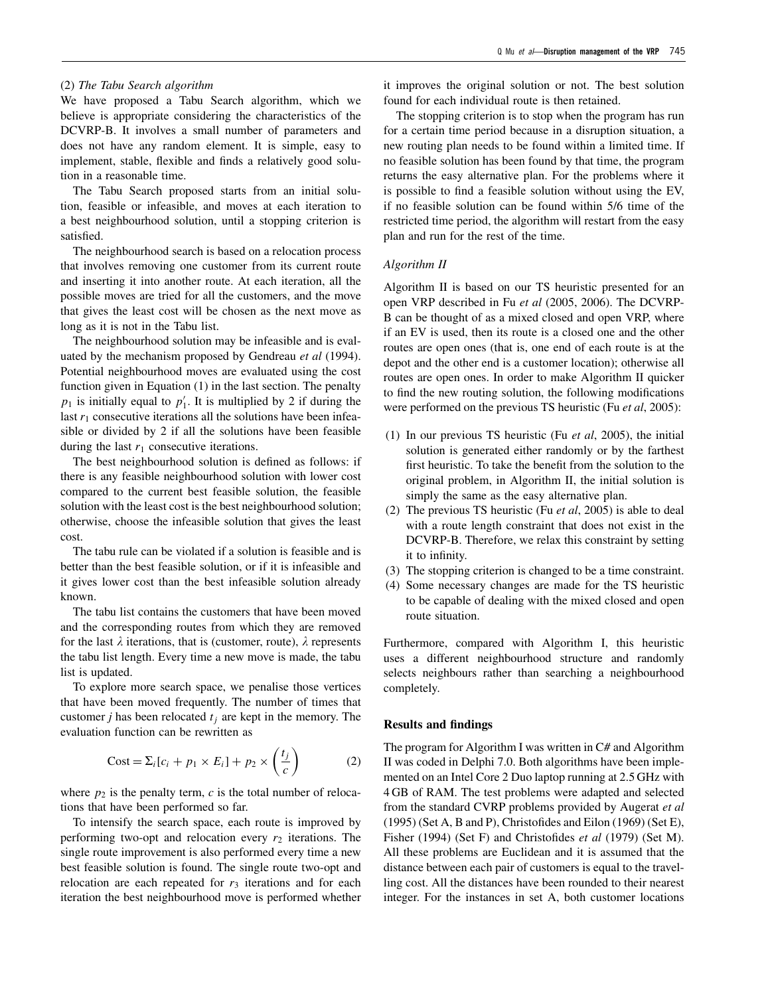#### (2) *The Tabu Search algorithm*

We have proposed a Tabu Search algorithm, which we believe is appropriate considering the characteristics of the DCVRP-B. It involves a small number of parameters and does not have any random element. It is simple, easy to implement, stable, flexible and finds a relatively good solution in a reasonable time.

The Tabu Search proposed starts from an initial solution, feasible or infeasible, and moves at each iteration to a best neighbourhood solution, until a stopping criterion is satisfied.

The neighbourhood search is based on a relocation process that involves removing one customer from its current route and inserting it into another route. At each iteration, all the possible moves are tried for all the customers, and the move that gives the least cost will be chosen as the next move as long as it is not in the Tabu list.

The neighbourhood solution may be infeasible and is evaluated by the mechanism proposed by Gendreau *et al* (1994). Potential neighbourhood moves are evaluated using the cost function given in Equation (1) in the last section. The penalty  $p_1$  is initially equal to  $p'_1$ . It is multiplied by 2 if during the last  $r_1$  consecutive iterations all the solutions have been infeasible or divided by 2 if all the solutions have been feasible during the last  $r_1$  consecutive iterations.

The best neighbourhood solution is defined as follows: if there is any feasible neighbourhood solution with lower cost compared to the current best feasible solution, the feasible solution with the least cost is the best neighbourhood solution; otherwise, choose the infeasible solution that gives the least cost.

The tabu rule can be violated if a solution is feasible and is better than the best feasible solution, or if it is infeasible and it gives lower cost than the best infeasible solution already known.

The tabu list contains the customers that have been moved and the corresponding routes from which they are removed for the last  $\lambda$  iterations, that is (customer, route),  $\lambda$  represents the tabu list length. Every time a new move is made, the tabu list is updated.

To explore more search space, we penalise those vertices that have been moved frequently. The number of times that customer *j* has been relocated  $t_i$  are kept in the memory. The evaluation function can be rewritten as

$$
Cost = \Sigma_i[c_i + p_1 \times E_i] + p_2 \times \left(\frac{t_j}{c}\right)
$$
 (2)

where  $p_2$  is the penalty term,  $c$  is the total number of relocations that have been performed so far.

To intensify the search space, each route is improved by performing two-opt and relocation every  $r_2$  iterations. The single route improvement is also performed every time a new best feasible solution is found. The single route two-opt and relocation are each repeated for  $r_3$  iterations and for each iteration the best neighbourhood move is performed whether it improves the original solution or not. The best solution found for each individual route is then retained.

The stopping criterion is to stop when the program has run for a certain time period because in a disruption situation, a new routing plan needs to be found within a limited time. If no feasible solution has been found by that time, the program returns the easy alternative plan. For the problems where it is possible to find a feasible solution without using the EV, if no feasible solution can be found within 5/6 time of the restricted time period, the algorithm will restart from the easy plan and run for the rest of the time.

### *Algorithm II*

Algorithm II is based on our TS heuristic presented for an open VRP described in Fu *et al* (2005, 2006). The DCVRP-B can be thought of as a mixed closed and open VRP, where if an EV is used, then its route is a closed one and the other routes are open ones (that is, one end of each route is at the depot and the other end is a customer location); otherwise all routes are open ones. In order to make Algorithm II quicker to find the new routing solution, the following modifications were performed on the previous TS heuristic (Fu *et al*, 2005):

- (1) In our previous TS heuristic (Fu *et al*, 2005), the initial solution is generated either randomly or by the farthest first heuristic. To take the benefit from the solution to the original problem, in Algorithm II, the initial solution is simply the same as the easy alternative plan.
- (2) The previous TS heuristic (Fu *et al*, 2005) is able to deal with a route length constraint that does not exist in the DCVRP-B. Therefore, we relax this constraint by setting it to infinity.
- (3) The stopping criterion is changed to be a time constraint.
- (4) Some necessary changes are made for the TS heuristic to be capable of dealing with the mixed closed and open route situation.

Furthermore, compared with Algorithm I, this heuristic uses a different neighbourhood structure and randomly selects neighbours rather than searching a neighbourhood completely.

# **Results and findings**

The program for Algorithm I was written in C# and Algorithm II was coded in Delphi 7.0. Both algorithms have been implemented on an Intel Core 2 Duo laptop running at 2.5 GHz with 4 GB of RAM. The test problems were adapted and selected from the standard CVRP problems provided by Augerat *et al* (1995) (Set A, B and P), Christofides and Eilon (1969) (Set E), Fisher (1994) (Set F) and Christofides *et al* (1979) (Set M). All these problems are Euclidean and it is assumed that the distance between each pair of customers is equal to the travelling cost. All the distances have been rounded to their nearest integer. For the instances in set A, both customer locations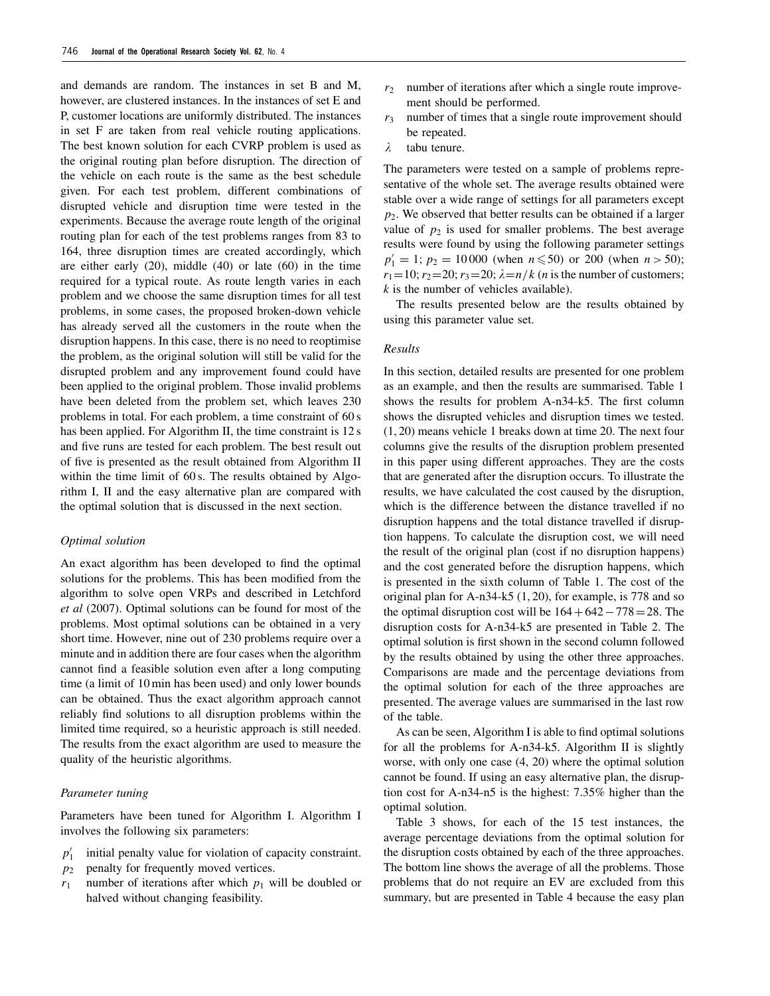and demands are random. The instances in set B and M, however, are clustered instances. In the instances of set E and P, customer locations are uniformly distributed. The instances in set F are taken from real vehicle routing applications. The best known solution for each CVRP problem is used as the original routing plan before disruption. The direction of the vehicle on each route is the same as the best schedule given. For each test problem, different combinations of disrupted vehicle and disruption time were tested in the experiments. Because the average route length of the original routing plan for each of the test problems ranges from 83 to 164, three disruption times are created accordingly, which are either early (20), middle (40) or late (60) in the time required for a typical route. As route length varies in each problem and we choose the same disruption times for all test problems, in some cases, the proposed broken-down vehicle has already served all the customers in the route when the disruption happens. In this case, there is no need to reoptimise the problem, as the original solution will still be valid for the disrupted problem and any improvement found could have been applied to the original problem. Those invalid problems have been deleted from the problem set, which leaves 230 problems in total. For each problem, a time constraint of 60 s has been applied. For Algorithm II, the time constraint is 12 s and five runs are tested for each problem. The best result out of five is presented as the result obtained from Algorithm II within the time limit of 60 s. The results obtained by Algorithm I, II and the easy alternative plan are compared with the optimal solution that is discussed in the next section.

## *Optimal solution*

An exact algorithm has been developed to find the optimal solutions for the problems. This has been modified from the algorithm to solve open VRPs and described in Letchford *et al* (2007). Optimal solutions can be found for most of the problems. Most optimal solutions can be obtained in a very short time. However, nine out of 230 problems require over a minute and in addition there are four cases when the algorithm cannot find a feasible solution even after a long computing time (a limit of 10 min has been used) and only lower bounds can be obtained. Thus the exact algorithm approach cannot reliably find solutions to all disruption problems within the limited time required, so a heuristic approach is still needed. The results from the exact algorithm are used to measure the quality of the heuristic algorithms.

#### *Parameter tuning*

Parameters have been tuned for Algorithm I. Algorithm I involves the following six parameters:

- $p'_1$ initial penalty value for violation of capacity constraint.
- *p*<sup>2</sup> penalty for frequently moved vertices.
- $r_1$  number of iterations after which  $p_1$  will be doubled or halved without changing feasibility.
- $r<sub>2</sub>$  number of iterations after which a single route improvement should be performed.
- *r*<sup>3</sup> number of times that a single route improvement should be repeated.
- $\lambda$ tabu tenure.

The parameters were tested on a sample of problems representative of the whole set. The average results obtained were stable over a wide range of settings for all parameters except *p*2. We observed that better results can be obtained if a larger value of  $p_2$  is used for smaller problems. The best average results were found by using the following parameter settings  $p'_1 = 1$ ;  $p_2 = 10000$  (when  $n \le 50$ ) or 200 (when  $n > 50$ );  $r_1 = 10; r_2 = 20; r_3 = 20; \lambda = n/k$  (*n* is the number of customers; *k* is the number of vehicles available).

The results presented below are the results obtained by using this parameter value set.

#### *Results*

In this section, detailed results are presented for one problem as an example, and then the results are summarised. Table 1 shows the results for problem A-n34-k5. The first column shows the disrupted vehicles and disruption times we tested. (1, 20) means vehicle 1 breaks down at time 20. The next four columns give the results of the disruption problem presented in this paper using different approaches. They are the costs that are generated after the disruption occurs. To illustrate the results, we have calculated the cost caused by the disruption, which is the difference between the distance travelled if no disruption happens and the total distance travelled if disruption happens. To calculate the disruption cost, we will need the result of the original plan (cost if no disruption happens) and the cost generated before the disruption happens, which is presented in the sixth column of Table 1. The cost of the original plan for A-n34-k5 (1, 20), for example, is 778 and so the optimal disruption cost will be  $164+642-778=28$ . The disruption costs for A-n34-k5 are presented in Table 2. The optimal solution is first shown in the second column followed by the results obtained by using the other three approaches. Comparisons are made and the percentage deviations from the optimal solution for each of the three approaches are presented. The average values are summarised in the last row of the table.

As can be seen, Algorithm I is able to find optimal solutions for all the problems for A-n34-k5. Algorithm II is slightly worse, with only one case (4, 20) where the optimal solution cannot be found. If using an easy alternative plan, the disruption cost for A-n34-n5 is the highest: 7.35% higher than the optimal solution.

Table 3 shows, for each of the 15 test instances, the average percentage deviations from the optimal solution for the disruption costs obtained by each of the three approaches. The bottom line shows the average of all the problems. Those problems that do not require an EV are excluded from this summary, but are presented in Table 4 because the easy plan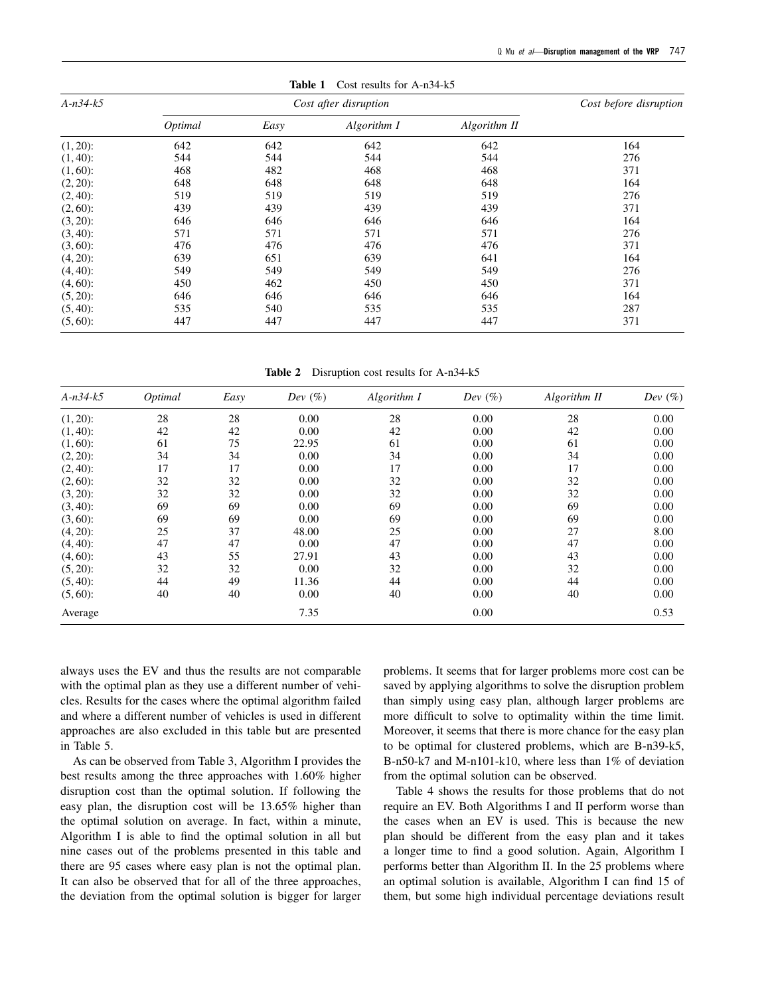| $A-n34-k5$  |         | Cost before disruption |             |              |     |
|-------------|---------|------------------------|-------------|--------------|-----|
|             | Optimal | Easy                   | Algorithm I | Algorithm II |     |
| $(1, 20)$ : | 642     | 642                    | 642         | 642          | 164 |
| $(1, 40)$ : | 544     | 544                    | 544         | 544          | 276 |
| $(1, 60)$ : | 468     | 482                    | 468         | 468          | 371 |
| $(2, 20)$ : | 648     | 648                    | 648         | 648          | 164 |
| $(2, 40)$ : | 519     | 519                    | 519         | 519          | 276 |
| $(2, 60)$ : | 439     | 439                    | 439         | 439          | 371 |
| $(3, 20)$ : | 646     | 646                    | 646         | 646          | 164 |
| $(3, 40)$ : | 571     | 571                    | 571         | 571          | 276 |
| $(3, 60)$ : | 476     | 476                    | 476         | 476          | 371 |
| $(4, 20)$ : | 639     | 651                    | 639         | 641          | 164 |
| $(4, 40)$ : | 549     | 549                    | 549         | 549          | 276 |
| $(4, 60)$ : | 450     | 462                    | 450         | 450          | 371 |
| $(5, 20)$ : | 646     | 646                    | 646         | 646          | 164 |
| $(5, 40)$ : | 535     | 540                    | 535         | 535          | 287 |
| $(5, 60)$ : | 447     | 447                    | 447         | 447          | 371 |

**Table 1** Cost results for A-n34-k5

**Table 2** Disruption cost results for A-n34-k5

| $A-n34-k5$  | Optimal | Easy | Dev $(\%)$ | Algorithm I | Dev $(\%)$ | Algorithm II | Dev $(\%)$ |
|-------------|---------|------|------------|-------------|------------|--------------|------------|
| $(1, 20)$ : | 28      | 28   | 0.00       | 28          | 0.00       | 28           | 0.00       |
| $(1, 40)$ : | 42      | 42   | 0.00       | 42          | 0.00       | 42           | 0.00       |
| $(1, 60)$ : | 61      | 75   | 22.95      | 61          | 0.00       | 61           | 0.00       |
| $(2, 20)$ : | 34      | 34   | 0.00       | 34          | 0.00       | 34           | 0.00       |
| $(2, 40)$ : | 17      | 17   | 0.00       | 17          | 0.00       | 17           | 0.00       |
| $(2, 60)$ : | 32      | 32   | 0.00       | 32          | 0.00       | 32           | 0.00       |
| $(3, 20)$ : | 32      | 32   | 0.00       | 32          | 0.00       | 32           | 0.00       |
| $(3, 40)$ : | 69      | 69   | 0.00       | 69          | 0.00       | 69           | 0.00       |
| $(3, 60)$ : | 69      | 69   | 0.00       | 69          | 0.00       | 69           | 0.00       |
| $(4, 20)$ : | 25      | 37   | 48.00      | 25          | 0.00       | 27           | 8.00       |
| $(4, 40)$ : | 47      | 47   | 0.00       | 47          | 0.00       | 47           | 0.00       |
| $(4, 60)$ : | 43      | 55   | 27.91      | 43          | 0.00       | 43           | 0.00       |
| $(5, 20)$ : | 32      | 32   | 0.00       | 32          | 0.00       | 32           | 0.00       |
| $(5, 40)$ : | 44      | 49   | 11.36      | 44          | 0.00       | 44           | 0.00       |
| $(5,60)$ :  | 40      | 40   | 0.00       | 40          | 0.00       | 40           | 0.00       |
| Average     |         |      | 7.35       |             | 0.00       |              | 0.53       |

always uses the EV and thus the results are not comparable with the optimal plan as they use a different number of vehicles. Results for the cases where the optimal algorithm failed and where a different number of vehicles is used in different approaches are also excluded in this table but are presented in Table 5.

As can be observed from Table 3, Algorithm I provides the best results among the three approaches with 1.60% higher disruption cost than the optimal solution. If following the easy plan, the disruption cost will be 13.65% higher than the optimal solution on average. In fact, within a minute, Algorithm I is able to find the optimal solution in all but nine cases out of the problems presented in this table and there are 95 cases where easy plan is not the optimal plan. It can also be observed that for all of the three approaches, the deviation from the optimal solution is bigger for larger

problems. It seems that for larger problems more cost can be saved by applying algorithms to solve the disruption problem than simply using easy plan, although larger problems are more difficult to solve to optimality within the time limit. Moreover, it seems that there is more chance for the easy plan to be optimal for clustered problems, which are B-n39-k5, B-n50-k7 and M-n101-k10, where less than 1% of deviation from the optimal solution can be observed.

Table 4 shows the results for those problems that do not require an EV. Both Algorithms I and II perform worse than the cases when an EV is used. This is because the new plan should be different from the easy plan and it takes a longer time to find a good solution. Again, Algorithm I performs better than Algorithm II. In the 25 problems where an optimal solution is available, Algorithm I can find 15 of them, but some high individual percentage deviations result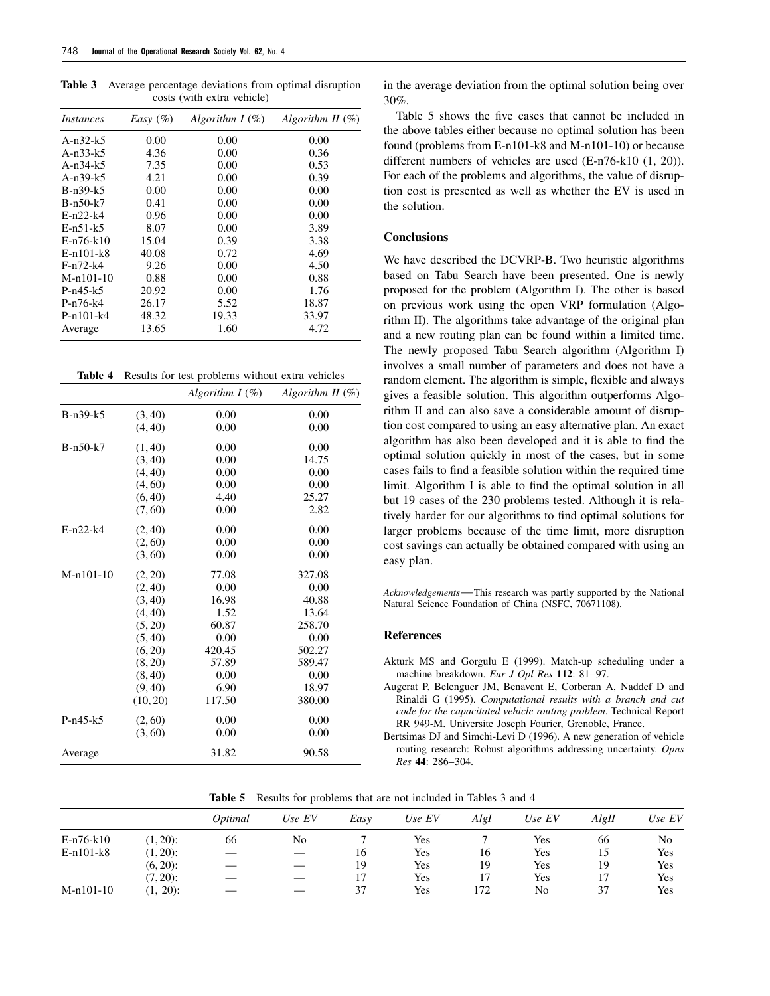**Table 3** Average percentage deviations from optimal disruption costs (with extra vehicle)

| <i>Instances</i> | $Easy$ (%) | Algorithm $I(\%)$ | Algorithm II $(\%)$ |
|------------------|------------|-------------------|---------------------|
| A-n32-k5         | 0.00       | 0.00              | 0.00                |
| A-n33-k5         | 4.36       | 0.00              | 0.36                |
| A-n34-k5         | 7.35       | 0.00              | 0.53                |
| A-n39-k5         | 4.21       | 0.00              | 0.39                |
| B-n39-k5         | 0.00       | 0.00              | 0.00                |
| $B-n50-k7$       | 0.41       | 0.00              | 0.00                |
| $E-n22-k4$       | 0.96       | 0.00              | 0.00                |
| $E-n51-k5$       | 8.07       | 0.00              | 3.89                |
| $E-n76-k10$      | 15.04      | 0.39              | 3.38                |
| $E-n101-k8$      | 40.08      | 0.72              | 4.69                |
| $F-n72-k4$       | 9.26       | 0.00              | 4.50                |
| M-n101-10        | 0.88       | 0.00              | 0.88                |
| $P-n45-k5$       | 20.92      | 0.00              | 1.76                |
| $P-n76-k4$       | 26.17      | 5.52              | 18.87               |
| $P-n101-k4$      | 48.32      | 19.33             | 33.97               |
| Average          | 13.65      | 1.60              | 4.72                |

|  |  | <b>Table 4</b> Results for test problems without extra vehicles |  |
|--|--|-----------------------------------------------------------------|--|
|--|--|-----------------------------------------------------------------|--|

|             |          | Algorithm $I(\%)$ | Algorithm II $(\%)$ |
|-------------|----------|-------------------|---------------------|
| $B-n39-k5$  | (3, 40)  | 0.00              | 0.00                |
|             | (4, 40)  | 0.00              | 0.00                |
| $B-n50-k7$  | (1, 40)  | 0.00              | 0.00                |
|             | (3, 40)  | 0.00              | 14.75               |
|             | (4, 40)  | 0.00              | 0.00                |
|             | (4, 60)  | 0.00              | 0.00                |
|             | (6, 40)  | 4.40              | 25.27               |
|             | (7, 60)  | 0.00              | 2.82                |
| $E-n22-k4$  | (2, 40)  | 0.00              | 0.00                |
|             | (2, 60)  | 0.00              | 0.00                |
|             | (3, 60)  | 0.00              | 0.00                |
| $M-n101-10$ | (2, 20)  | 77.08             | 327.08              |
|             | (2, 40)  | 0.00              | 0.00                |
|             | (3, 40)  | 16.98             | 40.88               |
|             | (4, 40)  | 1.52              | 13.64               |
|             | (5, 20)  | 60.87             | 258.70              |
|             | (5, 40)  | 0.00              | 0.00                |
|             | (6, 20)  | 420.45            | 502.27              |
|             | (8, 20)  | 57.89             | 589.47              |
|             | (8, 40)  | 0.00              | 0.00                |
|             | (9, 40)  | 6.90              | 18.97               |
|             | (10, 20) | 117.50            | 380.00              |
| $P-n45-k5$  | (2, 60)  | 0.00              | 0.00                |
|             | (3, 60)  | 0.00              | 0.00                |
| Average     |          | 31.82             | 90.58               |

in the average deviation from the optimal solution being over 30%.

Table 5 shows the five cases that cannot be included in the above tables either because no optimal solution has been found (problems from E-n101-k8 and M-n101-10) or because different numbers of vehicles are used (E-n76-k10 (1, 20)). For each of the problems and algorithms, the value of disruption cost is presented as well as whether the EV is used in the solution.

# **Conclusions**

We have described the DCVRP-B. Two heuristic algorithms based on Tabu Search have been presented. One is newly proposed for the problem (Algorithm I). The other is based on previous work using the open VRP formulation (Algorithm II). The algorithms take advantage of the original plan and a new routing plan can be found within a limited time. The newly proposed Tabu Search algorithm (Algorithm I) involves a small number of parameters and does not have a random element. The algorithm is simple, flexible and always gives a feasible solution. This algorithm outperforms Algorithm II and can also save a considerable amount of disruption cost compared to using an easy alternative plan. An exact algorithm has also been developed and it is able to find the optimal solution quickly in most of the cases, but in some cases fails to find a feasible solution within the required time limit. Algorithm I is able to find the optimal solution in all but 19 cases of the 230 problems tested. Although it is relatively harder for our algorithms to find optimal solutions for larger problems because of the time limit, more disruption cost savings can actually be obtained compared with using an easy plan.

*Acknowledgements*—This research was partly supported by the National Natural Science Foundation of China (NSFC, 70671108).

#### **References**

Akturk MS and Gorgulu E (1999). Match-up scheduling under a machine breakdown. *Eur J Opl Res* **112**: 81–97.

Augerat P, Belenguer JM, Benavent E, Corberan A, Naddef D and Rinaldi G (1995). *Computational results with a branch and cut code for the capacitated vehicle routing problem*. Technical Report RR 949-M. Universite Joseph Fourier, Grenoble, France.

Bertsimas DJ and Simchi-Levi D (1996). A new generation of vehicle routing research: Robust algorithms addressing uncertainty. *Opns Res* **44**: 286–304.

**Table 5** Results for problems that are not included in Tables 3 and 4

|             |             | Optimal | $\sim$<br>Use EV | Easy | Use EV     | AlgI | Use EV     | AlgH | Use $EV$ |
|-------------|-------------|---------|------------------|------|------------|------|------------|------|----------|
|             |             |         |                  |      |            |      |            |      |          |
| $E-n76-k10$ | $(1, 20)$ : | 66      | No               |      | <b>Yes</b> |      | <b>Yes</b> | 66   | No       |
| $E-n101-k8$ | $(1, 20)$ : |         |                  | 16   | Yes        | 16   | Yes        | 15   | Yes      |
|             | $(6, 20)$ : |         |                  | 19   | Yes        | 19   | Yes        | 19   | Yes      |
|             | $(7, 20)$ : | __      |                  | 17   | Yes        |      | Yes        |      | Yes      |
| $M-n101-10$ | $(1, 20)$ : |         |                  | 37   | Yes        | 172  | No         | 37   | Yes      |